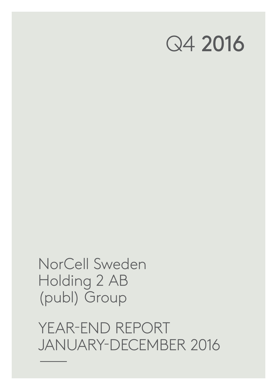YEAR-END REPORT JANUARY-DECEMBER 2016

NorCell Sweden Holding 2 AB (publ) Group

# Q4 2016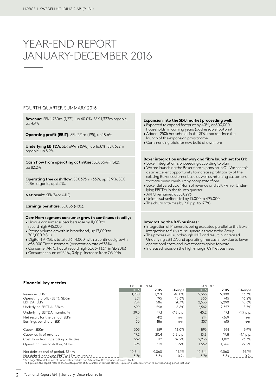# YEAR-END REPORT JANUARY-DECEMBER 2016

### FOURTH QUARTER SUMMARY 2016

**Revenue:** SEK 1,780m (1,271), up 40.0%. SEK 1,333m organic, up 4.9%.

**Operating profit (EBIT):** SEK 231m (195), up 18.6%.

**Underlying EBITDA**: SEK 699m (598), up 16.8%. SEK 622m organic, up 3.9%.

**Cash flow from operating activities:** SEK 569m (312), up 82.2%.

**Operating free cash flow**: SEK 393m (339), up 15.9%. SEK 358m organic, up 5.5%.

**Net result:** SEK 34m (-112).

**Earnings per share:** SEK 56 (-186).

### **Com Hem segment consumer growth continues steadily:**

- Unique consumer subscribers rose by 11,000 to
- record high 945,000
- Strong volume growth in broadband, up 13,000 to 702,000 RGUs
- Digital-TV RGU's totalled 644,000, with a continued growth of 6,000 TiVo customers (penetration rate of 38%)
- Consumer ARPU flat at record high SEK 371 (371 in Q3 2016)
- Consumer churn of 13.1%, 0.4p.p. increase from Q3 2016

### **Expansion into the SDU market proceeding well:**

- Expected to expand footprint by 40%, or 800,000 households, in coming years (addressable footprint)
- •Added ~250k households in the SDU market since the launch of the expansion programme
- •Commencing trials for new build of own fibre

### **Boxer integration under way and fibre launch set for Q1:**

- Boxer integration is proceeding according to plan
- We are launching the Boxer fibre expansion in Q1. We see this as an excellent opportunity to increase profitability of the existing Boxer customer base as well as retaining customers that are being overbuilt by competitor fibre
- Boxer delivered SEK 446m of revenue and SEK 77m of Underlying EBITDA in the fourth quarter
- ARPU remained at SEK 293
- Unique subscribers fell by 13,000 to 495,000
- The churn rate rose by 2.0 p.p. to 17.7%

### **Integrating the B2B business:**

- Integration of Phonera is being executed parallel to the Boxer integration to fully utilise synergies across the Group
- The process will run through 1H17 and result in increased Underlying EBITDA and operating free cash flow due to lower operational costs and investments going forward
- Increased focus on the high-margin OnNet business

### **Financial key metrics**

|                                                        |        | OCT-DEC/Q4 |             | JAN-DEC |        |             |
|--------------------------------------------------------|--------|------------|-------------|---------|--------|-------------|
|                                                        | 2016   | 2015       | Chanae      | 2016    | 2015   | Change      |
| Revenue, SEKm                                          | 1,780  | 1,271      | 40.0%       | 5,665   | 5,000  | 13.3%       |
| Operating profit (EBIT), SEKm                          | 231    | 195        | 18.6%       | 866     | 745    | 16.2%       |
| EBITDA, SEKm                                           | 704    | 586        | 20.1%       | 2,533   | 2,290  | 10.6%       |
| Underlying EBITDA, SEKm                                | 699    | 598        | 16.8%       | 2,562   | 2,357  | 8.7%        |
| Underlying EBITDA margin, %                            | 39.3   | 47.1       | $-7.8$ p.p. | 45.2    | 47.1   | $-1.9$ p.p. |
| Net result for the period, SEKm                        | 34     | $-112$     | n/m         | 214     | $-369$ | n/m         |
| Earnings per share, SEK                                | 56     | $-186$     | n/m         | 357     | $-615$ | n/m         |
| Capex, SEKm                                            | 305    | 259        | 18.0%       | 893     | 991    | $-9.9\%$    |
| Capex as % of revenue                                  | 17.2   | 20.4       | $-3.2$ p.p. | 15.8    | 19.8   | $-4.1 p.p.$ |
| Cash flow from operating activities                    | 569    | 312        | 82.2%       | 2,235   | 1,812  | 23.3%       |
| Operating free cash flow, SEKm                         | 393    | 339        | 15.9%       | 1.669   | 1.366  | 22.2%       |
| Net debt at end of period, SEKm                        | 10.341 | 9.060      | 14.1%       | 10.341  | 9.060  | 14.1%       |
| Net debt/Underlying EBITDA LTM, multiple <sup>19</sup> | 3.7x   | 3.8x       | $-0.2x$     | 3.7x    | 3.8x   | $-0.2x$     |

1) See page 18 for definitions of financial key metrics and Alternative Performance Measures (APM). The figures in this report refer to the fourth quarter of 2016 unless otherwise stated. Figures in brackets refer to the corresponding period last year.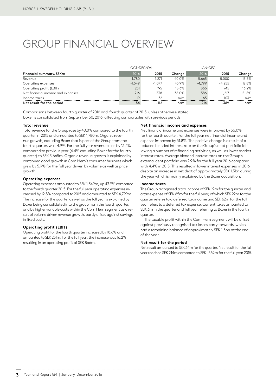# GROUP FINANCIAL OVERVIEW

|                                   |          | OCT-DEC/Q4 |           |          | JAN-DEC  |           |  |
|-----------------------------------|----------|------------|-----------|----------|----------|-----------|--|
| Financial summary, SEKm           | 2016     | 2015       | Change    | 2016     | 2015     | Change    |  |
| Revenue                           | 1.780    | 1.271      | 40.0%     | 5.665    | 5.000    | 13.3%     |  |
| Operating expenses                | $-1.549$ | $-1.077$   | 43.9%     | $-4.799$ | $-4.255$ | 12.8%     |  |
| Operating profit (EBIT)           | 231      | 195        | 18.6%     | 866      | 745      | 16.2%     |  |
| Net financial income and expenses | $-216$   | $-338$     | $-36.0\%$ | $-586$   | $-1.217$ | $-51.8\%$ |  |
| Income taxes                      | 19       | 32         | n/m       | $-65$    | 103      | n/m       |  |
| Net result for the period         | 34       | $-112$     | n/m       | 214      | -369     | n/m       |  |

Comparisons between fourth quarter of 2016 and fourth quarter of 2015, unless otherwise stated. Boxer is consolidated from September 30, 2016, affecting comparables with previous periods.

### **Total revenue**

Total revenue for the Group rose by 40.0% compared to the fourth quarter in 2015 and amounted to SEK 1,780m. Organic revenue growth, excluding Boxer that is part of the Group from the fourth quarter, was 4.9%. For the full year revenue rose by 13.3% compared to previous year (4.4% excluding Boxer for the fourth quarter) to SEK 5,665m. Organic revenue growth is explained by continued good growth in Com Hem's consumer business which grew by 5.9% for the full year driven by volume as well as price growth.

### **Operating expenses**

Operating expenses amounted to SEK 1,549m, up 43.9% compared to the fourth quarter 2015. For the full year operating expenses increased by 12.8% compared to 2015 and amounted to SEK 4,799m. The increase for the quarter as well as the full year is explained by Boxer being consolidated into the group from the fourth quarter, and by higher variable costs within the Com Hem segment as a result of volume driven revenue growth, partly offset against savings in fixed costs.

### **Operating profit (EBIT)**

Operating profit for the fourth quarter increased by 18.6% and amounted to SEK 231m. For the full year, the increase was 16.2% resulting in an operating profit of SEK 866m.

### **Net financial income and expenses**

Net financial income and expenses were improved by 36.0% for the fourth quarter. For the full year net financial income and expense improved by 51.8%. The positive change is a result of a reduced blended interest rate on the Group's debt portfolio following a number of refinancing activities, as well as lower market interest rates. Average blended interest rates on the Group's external debt portfolio was 2.9% for the full year 2016 compared with 4.4% in 2015. This resulted in lower interest expenses in 2016 despite an increase in net debt of approximately SEK 1.3bn during the year which is mainly explained by the Boxer acquisition.

### **Income taxes**

The Group recognised a tax income of SEK 19m for the quarter and a tax expense of SEK 65m for the full year, of which SEK 22m for the quarter referes to a deferred tax income and SEK 62m for the full year refers to a deferred tax expense. Current taxes amounted to SEK 3m in the quarter and full year referring to Boxer in the fourth quarter.

The taxable profit within the Com Hem segment will be offset against previously recognised tax losses carry forwards, which had a remaining balance of approximately SEK 1.3bn at the end of the year.

### **Net result for the period**

Net result amounted to SEK 34m for the quarter. Net result for the full year reached SEK 214m compared to SEK -369m for the full year 2015.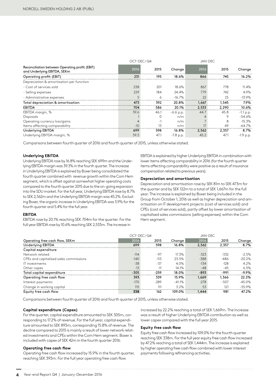|                                                                               | OCT-DEC/Q4 |          |             |       | JAN-DEC |             |
|-------------------------------------------------------------------------------|------------|----------|-------------|-------|---------|-------------|
| Reconciliation between Operating profit (EBIT)<br>and Underlying EBITDA, SEKm | 2016       | 2015     | Change      | 2016  | 2015    | Change      |
| Operating profit (EBIT)                                                       | 231        | 195      | 18.6%       | 866   | 745     | 16.2%       |
| Depreciation & amortisation per function                                      |            |          |             |       |         |             |
| - Cost of services sold                                                       | 238        | 201      | 18.6%       | 867   | 778     | $11.4\%$    |
| - Selling expenses                                                            | 229        | 184      | 24.4%       | 779   | 742     | 4.9%        |
| - Administrative expenses                                                     | 5          | 6        | $-16.7%$    | 22    | 25      | $-13.9%$    |
| Total depreciation & amortisation                                             | 473        | 392      | 20.8%       | 1.667 | 1,545   | 7.9%        |
| <b>EBITDA</b>                                                                 | 704        | 586      | 20.1%       | 2.533 | 2,290   | 10.6%       |
| EBITDA margin, %                                                              | 39.6       | 46.1     | $-6.6$ p.p. | 44.7  | 45.8    | $-1.1$ p.p. |
| Disposals                                                                     |            | $\Omega$ | n/m         |       | 9       | -54.6%      |
| Operating currency loss/gains                                                 |            | $-1$     | n/m         |       | 8       | $-15.3%$    |
| Items affecting comparability                                                 | $-10$      | 13       | n/m         | 17    | 49      | $-64.7\%$   |
| <b>Underlying EBITDA</b>                                                      | 699        | 598      | 16.8%       | 2.562 | 2,357   | 8.7%        |
| Underlying EBITDA margin, %                                                   | 39.3       | 47.1     | $-7.8$ p.p. | 45.2  | 47.1    | $-1.9$ p.p. |

Comparisons between fourth quarter of 2016 and fourth quarter of 2015, unless otherwise stated.

### **Underlying EBITDA**

Underlying EBITDA rose by 16.8% reaching SEK 699m and the Underlying EBITDA margin was 39.3% in the fourth quarter. The increase in Underlying EBITDA is explained by Boxer being consolidated the fourth quarter combined with revenue growth within the Com Hem segment, which is offset against somewhat higher operating costs compared to the fourth quarter 2015 due to the on-going expansion into the SDU market. For the full year, Underlying EBITDA rose by 8.7% to SEK 2,562m and the Underlying EBITDA margin was 45.2%. Excluding Boxer, the organic increase in Underlying EBITDA was 3.9% for the fourth quarter and 5.4% for the full year.

EBITDA is explained by higher Underlying EBITDA in combination with lower items affecting comparability in 2016 (for the fourth quarter items affecting comparability were positive as a result of insurance compensation related to previous years).

#### **Depreciation and amortisation**

Depreciation and amortisation rose by SEK 81m to SEK 473m for the quarter and by SEK 122m to a total of SEK 1,667m for the full year. The increase is explained by Boxer being included in the Group from October 1, 2016 as well as higher depreciation and amortisation on IT development projects (cost of services sold) and CPEs (cost of services sold), partly offset by lower amortisation of capitalised sales commissions (selling expenses) within the Com Hem segment.

#### **EBITDA**

EBITDA rose by 20.1% reaching SEK 704m for the quarter. For the full year EBITDA rose by 10.6% reaching SEK 2,533m. The increase in

|                                        | OCT-DEC/Q4 |        |          |        | JAN-DEC |          |
|----------------------------------------|------------|--------|----------|--------|---------|----------|
| Operating free cash flow, SEKm         | 2016       | 2015   | Change   | 2016   | 2015    | Change   |
| <b>Underlying EBITDA</b>               | 699        | 598    | 16.8%    | 2.562  | 2.357   | 8.7%     |
| Capital expenditure                    |            |        |          |        |         |          |
| Network related                        | $-114$     | $-97$  | 17.3%    | $-323$ | $-332$  | $-2.5%$  |
| CPEs and capitalised sales commissions | $-140$     | $-113$ | 23.5%    | $-388$ | $-486$  | $-20.2%$ |
| IT investments                         | $-38$      | $-37$  | 4.0%     | $-134$ | $-128$  | 4.2%     |
| Other capex                            | $-13$      | $-11$  | 14.1%    | $-48$  | $-45$   | $6.5\%$  |
| Total capital expenditure              | $-305$     | $-259$ | 18.0%    | $-893$ | -991    | $-9.9%$  |
| Operating free cash flow               | 393        | 339    | 15.9%    | 1,669  | 1,366   | 22.2%    |
| Interest payments                      | $-170$     | $-289$ | $-41.1%$ | $-278$ | $-507$  | $-45.0%$ |
| Change in working capital              | 115        | 111    | 3.2%     | 53     | 121     | -55.9%   |
| Equity free cash flow                  | 338        | 162    | 109.0%   | 1.444  | 981     | 47.2%    |

Comparisons between fourth quarter of 2016 and fourth quarter of 2015, unless otherwise stated.

### **Capital expenditure (Capex)**

For the quarter, capital expenditure amounted to SEK 305m, corresponding to 17.2% of revenue. For the full year, capital expenditure amounted to SEK 893m, corresponding 15.8% of revenue. The decline compared to 2015 is mainly a result of lower network related investments and CPEs within the Com Hem segment. Boxer is included with capex of SEK 42m in the fourth quarter 2016.

### **Operating free cash flow**

Operating free cash flow increased by 15.9% in the fourth quarter, reaching SEK 393m. For the full year operating free cash flow

increased by 22.2% reaching a total of SEK 1,669m. The increase was a result of higher Underlying EBITDA contribution as well as lower capex compared with the full year 2015.

### **Equity free cash flow**

Equity free cash flow increased by 109.0% for the fourth quarter reaching SEK 338m. For the full year equity free cash flow increased by 47.2% reaching a total of SEK 1,444m. The increase is explained by higher operating free cash flow combined with lower interest payments following refinancing activities.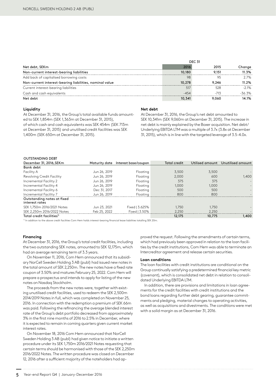|                                                         | <b>DEC 31</b> |        |          |
|---------------------------------------------------------|---------------|--------|----------|
| Net debt, SEKm                                          | 2016          | 2015   | Change   |
| Non-current interest-bearing liabilities                | 10,180        | 9.151  | 11.3%    |
| Add back of capitalised borrowing costs                 | 98            |        | $2.7\%$  |
| Non-current interest-bearing liabilities, nominal value | 10.278        | 9.246  | 11.2%    |
| Current interest-bearing liabilities                    | 517           | 528    | $-21%$   |
| Cash and cash equivalents                               | $-454$        | $-713$ | $-36.3%$ |
| Net debt                                                | 10,341        | 9.060  | 14.1%    |

### **Liquidity**

At December 31, 2016, the Group's total available funds amounted to SEK 1,854m (SEK 1,363m at December 31, 2015), of which cash and cash equivalents was SEK 454m (SEK 713m at December 31, 2015) and unutilised credit facilities was SEK 1,400m (SEK 650m at December 31, 2015).

### **Net debt**

At December 31, 2016, the Group's net debt amounted to SEK 10,341m (SEK 9,060m at December 31, 2015). The increase in net debt is mainly explained by the Boxer acquisition. Net debt/ Underlying EBITDA LTM was a multiple of 3.7x (3.8x at December 31, 2015), which is in line with the targeted leverage of 3.5-4.0x.

#### OUTSTANDING DEBT

| ,,,,,,,,,,,,,,,,,,,,,                        |               |                      |              |        |                                   |
|----------------------------------------------|---------------|----------------------|--------------|--------|-----------------------------------|
| December 31, 2016, SEKm                      | Maturity date | Interest base/coupon | Total credit |        | Utilised amount Unutilised amount |
| Bank debt                                    |               |                      |              |        |                                   |
| Facility A                                   | Jun 26, 2019  | Floating             | 3.500        | 3.500  |                                   |
| Revolving Credit Facility                    | Jun 26, 2019  | Floating             | 2,000        | 600    | 1.400                             |
| Incremental Facility 2                       | Jun 26, 2019  | Floating             | 375          | 375    |                                   |
| Incremental Facility 4                       | Jun 26, 2019  | Floating             | 1,000        | 1,000  |                                   |
| Incremental Facility 6                       | Dec 31, 2017  | Floating             | 500          | 500    |                                   |
| Incremental Facility 7                       | Jun 26, 2019  | Floating             | 800          | 800    |                                   |
| Outstanding notes at fixed<br>interest rates |               |                      |              |        |                                   |
| SEK 1.750m 2016/2021 Notes                   | Jun 23, 2021  | Fixed   3.625%       | 1,750        | 1.750  |                                   |
| SEK 2,250m 2016/2022 Notes                   | Feb 25, 2022  | Fixed   3.50%        | 2.250        | 2.250  |                                   |
| Total credit facilities <sup>1)</sup>        |               |                      | 12,175       | 10,775 | 1,400                             |

1) In addition to the above credit facilities Com Hem holds interest-bearing financial lease liabilities totalling SEK 20m.

### **Financing**

At December 31, 2016, the Group's total credit facilities, including the two outstanding SEK notes, amounted to SEK 12,175m, which had an average remaining term of 3.3 years.

On November 11, 2016, Com Hem announced that its subsidiary NorCell Sweden Holding 3 AB (publ) had issued new notes in the total amount of SEK 2,250m. The new notes have a fixed rate coupon of 3.50% and matures February 25, 2022. Com Hem will prepare a prospectus and intends to apply for listing of the new notes on Nasdaq Stockholm.

The proceeds from the new notes were, together with existing unutilised credit facilities, used to redeem the SEK 2,500m 2014/2019 Notes in full, which was completed on November 25, 2016. In connection with the redemption a premium of SEK 66m was paid. Following the refinancing the average blended interest rate of the Group's debt portfolio decreased from approximately 3% in the first nine months of 2016 to 2.5% in December, where it is expected to remain in coming quarters given current market interest rates.

On November 18, 2016 Com Hem announced that NorCell Sweden Holding 3 AB (publ) had given notice to initiate a written procedure under its SEK 1,750m 2016/2021 Notes requesting that certain terms should be harmonised with those of the SEK 2,250m 2016/2022 Notes. The written procedure was closed on December 12, 2016 after a sufficient majority of the noteholders had ap-

proved the request. Following the amendments of certain terms, which had previously been approved in relation to the loan facilities by the credit institutions, Com Hem was able to terminate an Intercreditor agreement and release certain securities.

### **Loan conditions**

The loan facilities with credit institutions are conditional on the Group continually satisfying a predetermined financial key metric (covenant), which is consolidated net debt in relation to consolidated Underlying EBITDA LTM.

In addition, there are provisions and limitations in loan agreements for the credit facilities with credit institutions and the bond loans regarding further debt gearing, guarantee commitments and pledging, material changes to operating activities, as well as acquisitions and divestments. The conditions were met with a solid margin as at December 31, 2016.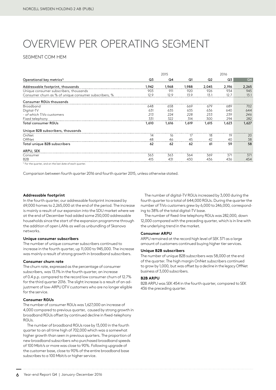# OVERVIEW PER OPERATING SEGMENT

### SEGMENT COM HEM

|                                                       |                | 2015  |       |       | 2016  |                |
|-------------------------------------------------------|----------------|-------|-------|-------|-------|----------------|
| Operational key metrics <sup>1)</sup>                 | Q <sub>3</sub> | Q4    | Q1    | Q2    | Q3    | Q <sub>4</sub> |
| Addressable footprint, thousands                      | 1.942          | 1,968 | 1,988 | 2,045 | 2.196 | 2,265          |
| Unique consumer subscribers, thousands                | 903            | 911   | 920   | 926   | 934   | 945            |
| Consumer churn as % of unique consumer subscribers, % | 12.9           | 12.9  | 13.9  | 13.1  | 12.7  | 13.1           |
| <b>Consumer RGUs thousands</b>                        |                |       |       |       |       |                |
| Broadband                                             | 648            | 658   | 669   | 679   | 689   | 702            |
| Digital-TV                                            | 631            | 635   | 635   | 636   | 640   | 644            |
| - of which TiVo customers                             | 213            | 224   | 228   | 233   | 239   | 246            |
| Fixed telephony                                       | 331            | 322   | 314   | 300   | 294   | 282            |
| <b>Total consumer RGUs</b>                            | 1,610          | 1,616 | 1,619 | 1,615 | 1,623 | 1,627          |
| Unique B2B subscribers, thousands                     |                |       |       |       |       |                |
| OnNet                                                 | 14             | 16    | 17    | 18    | 19    | 20             |
| OffNet                                                | 48             | 46    | 45    | 42    | 40    | 38             |
| Total unique B2B subscribers                          | 62             | 62    | 62    | 61    | 59    | 58             |
| ARPU, SEK                                             |                |       |       |       |       |                |
| Consumer                                              | 363            | 363   | 364   | 369   | 371   | 371            |
| B <sub>2</sub> B                                      | 415            | 431   | 430   | 436   | 436   | 454            |

<sup>1)</sup> For the quarter, and on the last date of each quarter

Comparison between fourth quarter 2016 and fourth quarter 2015, unless otherwise stated.

### **Addressable footprint**

In the fourth quarter, our addressable footprint increased by 69,000 homes to 2,265,000 at the end of the period. The increase is mainly a result of our expansion into the SDU market where we at the end of December had added some 250,000 addressable households since the start of the expansion programme through the addition of open LANs as well as unbundling of Skanova networks.

### **Unique consumer subscribers**

The number of unique consumer subscribers continued to increase in the fourth quarter, up 11,000 to 945,000. The increase was mainly a result of strong growth in broadband subscribers.

### **Consumer churn rate**

The churn rate, expressed as the percentage of consumer subscribers, was 13.1% in the fourth quarter, an increase of 0.4 p.p. compared to the record low consumer churn of 12.7% for the third quarter 2016. The slight increase is a result of an adjustment of low-ARPU DTV customers who are no longer eligible for the service.

### **Consumer RGUs**

The number of consumer RGUs was 1,627,000 an increase of 4,000 compared to previous quarter, caused by strong growth in broadband RGUs offset by continued decline in fixed-telephony RGUs.

The number of broadband RGUs rose by 13,000 in the fourth quarter to an all time high of 702,000 which was a somewhat higher growth than seen in previous quarters. The proportion of new broadband subscribers who purchased broadband speeds of 100 Mbit/s or more was close to 90%. Following upgrade of the customer base, close to 90% of the entire broadband base subscribes to a 100 Mbit/s or higher service.

The number of digital-TV RGUs increased by 3,000 during the fourth quarter to a total of 644,000 RGUs. During the quarter the number of TiVo customers grew by 6,000 to 246,000, corresponding to 38% of the total digital-TV base.

The number of fixed-line telephony RGUs was 282,000, down 12,000 compared with the preceding quarter, which is in line with the underlying trend in the market.

### **Consumer ARPU**

ARPU remained at the record high level of SEK 371 as a large amount of customers continued buying higher tier services.

### **Unique B2B subscribers**

The number of unique B2B subscribers was 58,000 at the end of the quarter. The high margin OnNet subscribers continued to grow by 1,000, but was offset by a decline in the legacy OffNet business of 3,000 subscribers.

### **B2B ARPU**

B2B ARPU was SEK 454 in the fourth quarter, compared to SEK 436 the preceding quarter.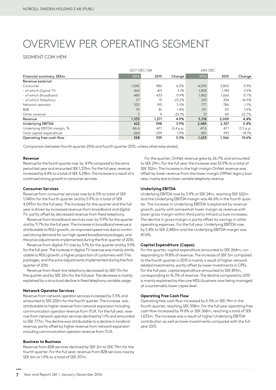# OVERVIEW PER OPERATING SEGMENT

### SEGMENT COM HEM

|                             | OCT-DEC/Q4 |         |             | JAN-DEC |        |           |  |
|-----------------------------|------------|---------|-------------|---------|--------|-----------|--|
| Financial summary, SEKm     | 2016       | 2015    | Change      | 2016    | 2015   | Change    |  |
| Revenue external            |            |         |             |         |        |           |  |
| Consumer                    | 1.045      | 986     | 6.0%        | 4,093   | 3,863  | 5.9%      |  |
| - of which Digital-TV       | 465        | 451     | 3.1%        | 1,855   | 1.785  | 3.9%      |  |
| - of which Broadband        | 485        | 433     | 11.9%       | 1,862   | 1,666  | 11.7%     |  |
| - of which Telephony        | 57         | 75      | $-23.2%$    | 253     | 304    | $-16.9\%$ |  |
| Network operator            | 202        | 195     | 3.5%        | 777     | 786    | $-1.1\%$  |  |
| B <sub>2</sub> B            | 79         | 81      | $-1.9%$     | 317     | 311    | 1.9%      |  |
| Other revenue               |            | $\circ$ | $-23.1%$    | 31      | 40     | $-22.7%$  |  |
| Revenue                     | 1,333      | 1,271   | 4.9%        | 5,218   | 5,000  | 4.4%      |  |
| Underlying EBITDA           | 622        | 598     | 3.9%        | 2,485   | 2.357  | 5.4%      |  |
| Underlying EBITDA margin, % | 46.6       | 47.1    | $-0.4$ p.p. | 47.6    | 47.1   | 0.5 p.p.  |  |
| Total capital expenditure   | $-264$     | $-259$  | 1.9%        | $-851$  | $-991$ | $-14.1\%$ |  |
| Operating free cash flow    | 358        | 339     | 5.5%        | 1,633   | 1.366  | 19.6%     |  |

Comparison between fourth quarter 2016 and fourth quarter 2015, unless otherwise stated.

### **Revenue**

Revenue for the fourth quarter rose by 4.9% compared to the same period last year and amounted SEK 1,333m. For the full year, revenue increased by 4.4% to a total of SEK 5,218m. The increase is a result of a continued strong growth in consumer services.

### **Consumer Services**

Revenue from consumer services rose by 6.0% to total of SEK 1,045m for the fourth quarter and by 5.9% to a total of SEK 4,093m for the full year. The increase for the quarter and the full year is driven by increased revenue from broadband and digital TV, partly offset by decreased revenue from fixed telephony.

Revenue from broadband services rose by 11.9% for the quarter and by 11.7% for the full year. The increase in broadband revenue is attributable to RGU growth, an improved speed mix due to continued strong demand for our high-speed broadband packages, and the price adjustments implemented during the first quarter of 2016.

Revenue from digital-TV rose by 3.1% for the quarter and by 3.9% for the full year. The increase in digital-TV revenue was mainly attributable to RGU growth, a higher proportion of customers with TiVo packages, and the price adjustments implemented during the first quarter of 2016.

Revenue from fixed-line telephony decreased by SEK 17m for the quarter and by SEK 52m for the full year. The decrease is mainly explained by a structural decline in fixed telephony variable usage.

### **Network Operator Services**

Revenue from network operator services increased by 3.5% and amounted to SEK 202m for the fourth quarter. The increase was attributable to higher revenue from network expansion including communication operator revenue from iTUX. For the full year, revenue from network operator services declined by 1.1% and amounted to SEK 777m. The decline was attributable to a decline in landlord revenue, partly offset by higher revenue from network expansion including communication operator revenue from iTUX.

### **Business to Business**

Revenue from B2B services declined by SEK 2m to SEK 79m for the fourth quarter. For the full year, revenue from B2B services rose by SEK 6m or 1.9% to a total of SEK 317m.

For the quarter, OnNet revenue grew by 26.7% and amounted to SEK 29m. For the full year the increase was 53.9% to a total of SEK 102m. The increase in the high margin OnNet revenue was offset by lower revenue from the lower margin OffNet legacy business, mainly due to lower variable telephony revenue.

### **Underlying EBITDA**

Underlying EBITDA rose by 3.9% or SEK 24m, reaching SEK 622m and the Underlying EBITDA margin was 46.6% in the fourth quarter. The increase in Underlying EBITDA is explained by revenue growth, partly with somewhat lower margin as revenue with lower gross margin within third party infrastructure increases. The decline in gross margin is partly offset by savings in other operating expenses. For the full year, Underlying EBITDA rose by 5.4% to SEK 2,485m and the Underlying EBITDA margin was 47.6%.

### **Capital Expenditure (Capex)**

For the quarter, capital expenditure amounted to SEK 264m, corresponding to 19.8% of revenue. The increase of SEK 5m compared to the fourth quarter in 2015 is mainly a result of higher network related investments, partly offset by lower investments in CPEs. For the full year, capital expenditure amounted to SEK 851m, corresponding to 16.3% of revenue. The decline compared to 2015 is mainly explained by the core MDU business now being managed at a sustainably lower capex level.

### **Operating Free Cash Flow**

Operating free cash flow increased by 5.5% or SEK 19m in the fourth quarter, reaching SEK 358m. For the full year operating free cash flow increased by 19.6% or SEK 268m, reaching a total of SEK 1,633m. The increase was a result of higher Underlying EBITDA contribution as well as lower investments compared with the full year 2015.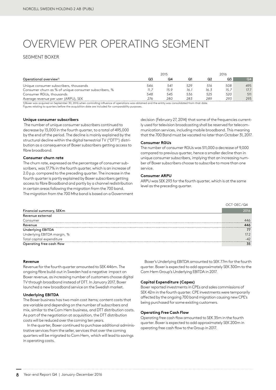# OVERVIEW PER OPERATING SEGMENT

### SEGMENT BOXER

|                                                       | 2015 |      |      | 2016 |      |      |
|-------------------------------------------------------|------|------|------|------|------|------|
| Operational overview <sup>1)</sup>                    | Q3   | Q4   | Q1   | Q2   | Q3   | Q4   |
| Unique consumer subscribers, thousands                | 546  | 541  | 529  | 516  | 508  | 495  |
| Consumer churn as % of unique consumer subscribers, % | 11.7 | 15.9 | 16.1 | 16.3 | 15.7 | 17.7 |
| Consumer RGUs, thousands                              | 548  | 545  | 536  | 525  | 520  | 511  |
| Average revenue per user (ARPU), SEK                  | 276  | 280  | 283  | 289  | 293  | 293  |

1)Boxer was acquired on September 30, 2016 when controlling influence of operations was obtained and the entity was consolidated from that date.<br>Figures relating to quarters before the acquisition date are included for com

**Unique consumer subscribers**

 The number of unique consumer subscribers continued to decrease by 13,000 in the fourth quarter, to a total of 495,000 by the end of the period. The decline is mainly explained by the structural decline within the digital terrestrial TV ("DTT") distribution as a consequence of Boxer subscribers getting access to fibre broadband.

### **Consumer churn rate**

The churn rate, expressed as the percentage of consumer subscribers, was 17.7% in the fourth quarter, which is an increase of 2.0 p.p. compared to the preceding quarter. The increase in the fourth quarter is partly explained by Boxer subscribers getting access to fibre Broadband and partly by a channel redistribution in certain areas following the migration from the 700 band. The migration from the 700 Mhz band is based on a Government decision (February 27, 2014) that some of the frequencies currently used for television broadcasting shall be reserved for telecommunication services, including mobile broadband. This meaning that the 700 Band must be vacated no later than October 31, 2017.

### **Consumer RGUs**

The number of consumer RGUs was 511,000 a decrease of 9,000 compared to previous quarter, hence a smaller decline than in unique consumer subscribers, implying that an increasing number of Boxer subscribers choose to subscribe to more than one service.

### **Consumer ARPU**

ARPU was SEK 293 for the fourth quarter, which is at the same level as the preceding quarter.

|                             | OCT-DEC/Q4 |
|-----------------------------|------------|
| Financial summary, SEKm     | 2016       |
| Revenue external            |            |
| Consumer                    | 446        |
| Revenue                     | 446        |
| Underlying EBITDA           | 77         |
| Underlying EBITDA margin, % | 172        |
| Total capital expenditure   | $-42$      |
| Operating free cash flow    | 35         |

### **Revenue**

Revenue for the fourth quarter amounted to SEK 446m. The ongoing fibre build-out in Sweden had a negative impact on Boxer revenue, as increasing number of customers choose digital TV through broadband instead of DTT. In January 2017, Boxer launched a new broadband service on the Swedish market.

### **Underlying EBITDA**

The Boxer business has two main cost items; content costs that are variable and depending on the number of subscribers and mix, similar to the Com Hem business, and DTT distribution costs. As part of the negotiation at acquisition, the DTT distribution costs will be reduced over the coming ten years.

In the quarter, Boxer continued to purchase additional administrative services from the seller, services that over the coming quarters will be migrated to Com Hem, which will lead to savings in operating costs.

Boxer's Underlying EBITDA amounted to SEK 77m for the fourth quarter. Boxer is expected to add approximately SEK 300m to the Com Hem Group's Underlying EBITDA in 2017.

### **Capital Expenditure (Capex)**

Boxer reported investments in CPEs and sales commissions of SEK 42m in the fourth quarter. CPE investments were temporarily affected by the ongoing 700 band migration causing new CPE's being purchased for some existing customers.

### **Operating Free Cash Flow**

Operating free cash flow amounted to SEK 35m in the fourth quarter. Boxer is expected to add approximately SEK 200m in operating free cash flow to the Group in 2017.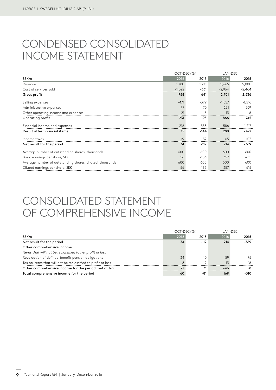## CONDENSED CONSOLIDATED INCOME STATEMENT

|                                                          | OCT-DEC/Q4 |        | JAN-DEC  |          |  |
|----------------------------------------------------------|------------|--------|----------|----------|--|
| <b>SEKm</b>                                              | 2016       | 2015   | 2016     | 2015     |  |
| Revenue                                                  | 1,780      | 1,271  | 5,665    | 5,000    |  |
| Cost of services sold                                    | $-1,022$   | $-631$ | $-2,964$ | $-2,464$ |  |
| Gross profit                                             | 758        | 641    | 2,701    | 2,536    |  |
| Selling expenses                                         | $-471$     | $-379$ | $-1,557$ | $-1,516$ |  |
| Administrative expenses                                  | $-77$      | $-70$  | $-291$   | $-269$   |  |
| Other operating income and expenses                      | 21         | 3      | 13       | -6       |  |
| Operating profit                                         | 231        | 195    | 866      | 745      |  |
| Financial income and expenses                            | $-216$     | $-338$ | $-586$   | $-1,217$ |  |
| Result after financial items                             | 15         | $-144$ | 280      | -472     |  |
| Income taxes                                             | 19         | 32     | $-65$    | 103      |  |
| Net result for the period                                | 34         | $-112$ | 214      | -369     |  |
| Average number of outstanding shares, thousands          | 600        | 600    | 600      | 600      |  |
| Basic earnings per share, SEK                            | 56         | $-186$ | 357      | $-615$   |  |
| Average number of outstanding shares, diluted, thousands | 600        | 600    | 600      | 600      |  |
| Diluted earnings per share, SEK                          | 56         | $-186$ | 357      | $-615$   |  |

# CONSOLIDATED STATEMENT OF COMPREHENSIVE INCOME

|                                                              |      | OCT-DEC/Q4 | JAN-DEC |        |  |
|--------------------------------------------------------------|------|------------|---------|--------|--|
| SEKm                                                         | 2016 | 2015       | 2016    | 2015   |  |
| Net result for the period                                    | 34   | $-112$     | 214     | $-369$ |  |
| Other comprehensive income                                   |      |            |         |        |  |
| Items that will not be reclassified to net profit or loss    |      |            |         |        |  |
| Revaluation of defined-benefit pension obligations           | 34   | 40         | -59     | 75     |  |
| Tax on items that will not be reclassified to profit or loss | $-A$ | $-Q$       | 13      | $-16$  |  |
| Other comprehensive income for the period, net of tax        | 27   | 31         | -46     | 58     |  |
| Total comprehensive income for the period                    | 60   | -81        | 169     | -310   |  |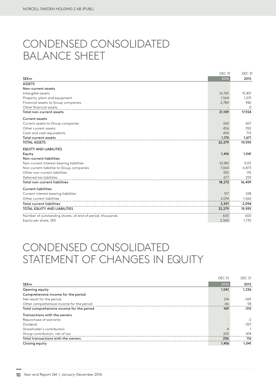# CONDENSED CONSOLIDATED BALANCE SHEET

|                                                           | <b>DEC 31</b> | DEC <sub>31</sub> |
|-----------------------------------------------------------|---------------|-------------------|
| <b>SEKm</b><br><b>ASSETS</b>                              | 2016          | 2015              |
| Non-current assets                                        |               |                   |
|                                                           | 16,765        |                   |
| Intangible assets                                         | 1,564         | 15,451            |
| Property, plant and equipment                             |               | 1,531             |
| Financial assets to Group companies                       | 2,780         | 942               |
| Other financial assets                                    |               | $\Omega$          |
| Total non-current assets                                  | 21,109        | 17,924            |
| <b>Current assets</b>                                     |               |                   |
| Current assets to Group companies                         | 260           | 607               |
| Other current assets                                      | 456           | 350               |
| Cash and cash equivalents                                 | 454           | 713               |
| Total current assets                                      | 1,170         | 1,671             |
| <b>TOTAL ASSETS</b>                                       | 22,279        | 19,595            |
| <b>EQUITY AND LIABILITIES</b>                             |               |                   |
| Equity                                                    | 1,416         | 1,041             |
| Non-current liabilities                                   |               |                   |
| Non-current interest-bearing liabilities                  | 10,180        | 9,151             |
| Non-current liabilitie to Group companies                 | 7.064         | 6,873             |
| Other non-current liabilities                             | 350           | 176               |
| Deferred tax liabilities                                  | 677           | 259               |
| Total non-current liabilities                             | 18,272        | 16,459            |
| <b>Current liabilities</b>                                |               |                   |
| Current interest-bearing liabilities                      | 517           | 528               |
| Other current liabilities                                 | 2,074         | 1,566             |
| <b>Total current liabilities</b>                          | 2,591         | 2,094             |
| <b>TOTAL EQUITY AND LIABILITIES</b>                       | 22,279        | 19,595            |
| Number of outstanding shares, at end of period, thousands | 600           | 600               |
| Equity per share, SEK                                     | 2,360         | 1,735             |

# CONDENSED CONSOLIDATED STATEMENT OF CHANGES IN EQUITY

|                                           | DEC <sub>31</sub> | <b>DEC 31</b> |
|-------------------------------------------|-------------------|---------------|
| <b>SEKm</b>                               | 2016              | 2015          |
| Opening equity                            | 1,041             | 1,236         |
| Comprehensive income for the period       |                   |               |
| Net result for the period                 | 214               | $-369$        |
| Other comprehensive income for the period | $-46$             | 58            |
| Total comprehensive income for the period | 169               | $-310$        |
| Transactions with the owners              |                   |               |
| Repurchase of warrants                    |                   | $-2$          |
| Dividend                                  |                   | $-357$        |
| Shareholder's contribution                |                   |               |
| Group contribution, net of tax            | 203               | 474           |
| Total transactions with the owners        | 206               | 116           |
| Closing equity                            | 1.416             | 1.041         |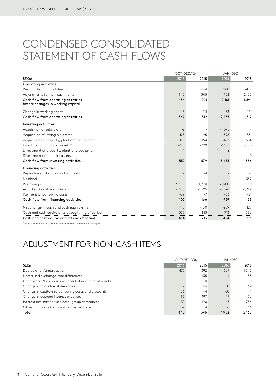### CONDENSED CONSOLIDATED STATEMENT OF CASH FLOWS

|                                                                          | OCT-DEC/Q4 |          | <b>JAN-DEC</b> |          |
|--------------------------------------------------------------------------|------------|----------|----------------|----------|
| <b>SEKm</b>                                                              | 2016       | 2015     | 2016           | 2015     |
| Operating activities                                                     |            |          |                |          |
| Result after financial items                                             | 15         | $-144$   | 280            | $-472$   |
| Adjustments for non-cash items                                           | 440        | 345      | 1,902          | 2,163    |
| Cash flow from operating activities<br>before changes in working capital | 454        | 201      | 2,181          | 1,691    |
| Change in working capital                                                | 115        | 111      | 53             | 121      |
| Cash flow from operating activities                                      | 569        | 312      | 2,235          | 1,812    |
| Investing activities                                                     |            |          |                |          |
| Acquisition of subsidiary                                                | $-2$       |          | $-1,375$       |          |
| Acquisition of intangible assets                                         | $-128$     | $-95$    | $-396$         | $-381$   |
| Acquisition of property, plant and equipment                             | $-178$     | $-164$   | $-497$         | $-594$   |
| Investment in financial assets <sup>1)</sup>                             | $-250$     | $-320$   | $-1,187$       | $-580$   |
| Divestment of property, plant and equipment                              |            |          | $\overline{2}$ |          |
| Divestment of financial assets                                           |            |          |                | $\Omega$ |
| Cash flow from investing activities                                      | $-557$     | $-579$   | $-3,453$       | $-1,556$ |
| <b>Financing activities</b>                                              |            |          |                |          |
| Repurchases of shares and warrants                                       |            | $-1$     |                | $-2$     |
| Dividend                                                                 |            |          |                | $-357$   |
| <b>Borrowings</b>                                                        | 3,300      | 1,900    | 6,600          | 2,000    |
| Amortisation of borrowings                                               | $-3,158$   | $-1,725$ | $-5,578$       | $-1,749$ |
| Payment of borrowing costs                                               | $-39$      | $-7$     | $-63$          | $-21$    |
| Cash flow from financing activities                                      | 103        | 166      | 959            | $-129$   |
| Net change in cash and cash equivalents                                  | 115        | $-100$   | $-259$         | 127      |
| Cash and cash equivalents at beginning of period                         | 339        | 813      | 713            | 586      |
| Cash and cash equivalents at end of period                               | 454        | 713      | 454            | 713      |

1) Intercompany loans to the parent company Com Hem Holding AB.

### ADJUSTMENT FOR NON-CASH ITEMS

|                                                          | $OCT-DEC/Q4$ |        | JAN-DEC |        |
|----------------------------------------------------------|--------------|--------|---------|--------|
| SEKm                                                     | 2016         | 2015   | 2016    | 2015   |
| Depreciation/amortisation                                | 473          | 392    | 1.667   | 1.545  |
| Unrealised exchange-rate differences                     |              | $-135$ |         | $-188$ |
| Capital gain/loss on sale/disposal of non-current assets |              |        |         | 9      |
| Change in fair value of derivatives                      |              | 46     |         | 39     |
| Change in capitalised borrowing costs and discounts      | 36           | 44     | 60      | 71     |
| Change in accrued interest expenses                      | $-95$        | $-197$ | 17      | -66    |
| Interest not settled with cash, group companies          | 32           | 190    | 147     | 736.   |
| Other profit/loss items not settled with cash            |              |        |         | 16     |
| Total                                                    | 440          | 345    | 1,902   | 2.163  |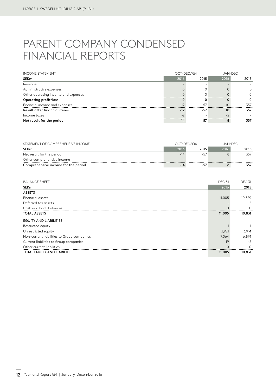# PARENT COMPANY CONDENSED FINANCIAL REPORTS

| <b>INCOME STATEMENT</b>             | OCT-DEC/Q4 |       |      | JAN-DEC |  |
|-------------------------------------|------------|-------|------|---------|--|
| SEKm                                | 2016       | 2015  | 2016 | 2015    |  |
| Revenue                             |            |       |      |         |  |
| Administrative expenses             |            |       |      |         |  |
| Other operating income and expenses |            |       |      |         |  |
| Operating profit/loss               |            |       |      |         |  |
| Financial income and expenses       |            | $-57$ | 10   | 357     |  |
| Result after financial items        | $-12$      | $-57$ | 10   | 357     |  |
| Income taxes                        |            |       |      |         |  |
| Net result for the period           |            | -57   |      | 357     |  |

| STATEMENT OF COMPREHENSIVE INCOME   |       | OCT-DEC/Q4 |      | JAN-DEC |
|-------------------------------------|-------|------------|------|---------|
| SEKm                                | 2016  | 2015       | 2016 | 2015    |
| Net result for the period           | $-14$ | -57        |      | 357     |
| Other comprehensive income          |       |            |      |         |
| Comprehensive income for the period | $-14$ | -57        |      | 357     |

| <b>BALANCE SHEET</b>                       | <b>DEC 31</b> | <b>DEC 31</b> |
|--------------------------------------------|---------------|---------------|
| <b>SEKm</b>                                | 2016          | 2015          |
| <b>ASSETS</b>                              |               |               |
| Financial assets                           | 11,005        | 10,829        |
| Deferred tax assets                        |               | 2             |
| Cash and bank balances                     |               | 0             |
| <b>TOTAL ASSETS</b>                        | 11,005        | 10,831        |
| <b>EQUITY AND LIABILITIES</b>              |               |               |
| Restricted equity                          |               |               |
| Unrestricted equity                        | 3,921         | 3,914         |
| Non-current liabilities to Group companies | 7,064         | 6,874         |
| Current liabilities to Group companies     | 19            | 42            |
| Other current liabilities                  |               | O             |
| <b>TOTAL EQUITY AND LIABILITIES</b>        | 11,005        | 10,831        |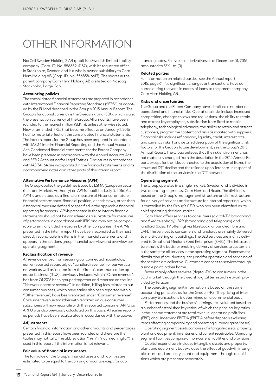# OTHER INFORMATION

NorCell Sweden Holding 2 AB (publ) is a Swedish limited liability company (Corp. ID. No. 556859-4187), with its registered office in Stockholm, Sweden and is a wholly owned subsidiary to Com Hem Holding AB (Corp. ID. No. 556858-6613). The shares in the parent company Com Hem Holding AB are listed on Nasdaq Stockholm, Large Cap.

### **Accounting policies**

The consolidated financial statements are prepared in accordance with International Financial Reporting Standards ("IFRS") as adopted by the EU and described in the Group's 2015 Annual Report. The Group's functional currency is the Swedish krona (SEK), which is also the presentation currency of the Group. All amounts have been rounded to the nearest million (SEKm), unless otherwise stated. New or amended IFRSs that became effective on January 1, 2016 had no material effect on the consolidated financial statements. The interim report for the Group has been prepared in accordance with IAS 34 Interim Financial Reporting and the Annual Accounts Act. Condensed financial statements for the Parent Company have been prepared in accordance with the Annual Accounts Act and RFR 2 Accounting for Legal Entities. Disclosures in accordance with IAS 34.16A are incorporated in the financial statements and its accompanying notes or in other parts of this interim report.

### **Alternative Performance Measures (APM)**

The Group applies the guidelines issued by ESMA (European Securities and Markets Authority) on APMs, published July 3, 2016. An APM is understood as a financial measure of historical or future financial performance, financial position, or cash flows, other than a financial measure defined or specified in the applicable financial reporting framework. APMs presented in these interim financial statements should not be considered as a substitute for measures of performance in accordance with IFRS and may not be comparable to similarly titled measures by other companies. The APMs presented in the interim report have been reconciled to the most directly reconcilable line items in the financial statements and appears in the sections group financial overview and overview per operating segment.

### **Reclassification of revenue**

All revenue derived from securing our connected households, earlier reported separately as "Landlord revenue" for our vertical network as well as income from the Group's communication operator business (iTUX), previously included within "Other revenue", has from Q1 2016 been grouped together and reported on the line "Network operator revenue". In addition, billing fees related to our consumer business, which have earlier also been reported within "Other revenue", have been reported under "Consumer revenue". Consumer revenue together with reported unique consumer subscribers will now reconcile with the reported consumer ARPU as ARPU was also previously calculated on this basis. All earlier reported periods have been recalculated in accordance with the above.

### **Adjustments**

Certain financial information and other amounts and percentages presented in this report have been rounded and therefore the tables may not tally. The abbreviation "n/m" ("not meaningful") is used in this report if the information is not relevant.

### **Fair value of financial instruments**

The fair value of the Group's financial assets and liabilities are estimated to be equal to the carrying amounts except for out-

standing notes. Fair value of derivatives as of December 31, 2016 amounted to SEK - m (0).

### **Related parties**

For information on related parties, see the Annual report 2015, page 61. No significant changes or transactions have occurred during the year, in excess of loans to the parent company Com Hem Holding AB.

### **Risks and uncertainties**

The Group and the Parent Company have identified a number of operational and financial risks. Operational risks include increased competition, changes to laws and regulations, the ability to retain and attract key employees, substitution from fixed to mobile telephony, technological advances, the ability to retain and attract customers, programme content and risks associated with suppliers. Financial risks include refinancing, liquidity, credit, interest rate, and currency risks. For a detailed description of the significant risk factors for the Group's future development, see the Group's 2015 Annual Report. The Group believes that the risk environment has not materially changed from the description in the 2015 Annual Report, except for the risks connected to the acquisition of Boxer, the structural DTT decline and the reliance upon Teracom in respect of the distribution of the services in the DTT network.

### **Operating segment**

The Group operates in a single market, Sweden and is divided in two operating segments, Com Hem and Boxer. The division is based on the Group's management structure and infrastructure for delivery of services and structure for internal reporting, which is controlled by the Group's CEO, who has been identified as its chief operating decision-maker.

Com Hem offers services to consumers (digital-TV, broadband and fixed telephony), B2B (broadband and telephony) and landlord (basic TV offering) via fibreCoax, unbundled fibre and LAN. The services to consumers and landlords are mainly delivered to multi-dwelling unit buildings. The B2B services are mainly delivered to Small and Medium Sized Enterprises (SMEs). The infrastructure that is the basis for enabling delivery of services to customers is the same for all services in the operating segment. Expenses for distribution (fibre, ducting, etc.) and for operation and servicing of the services are collective. Customers connect to services through a single point in their home.

Boxer mainly offers services (digital-TV) to consumers in the SDU market through the Swedish digital terrestrial network provided by Teracom.

The operating segment information is based on the same accounting principles as for the Group, IFRS. The pricing of inter company transactions is determined on a commercial basis.

Performances and the business' earnings are evaluated based on a number of established key ratios, of which the principal key ratios in the income statement are total revenue, operating profit/loss (EBIT) and Underlying EBITDA (EBITDA before disposals excluding items affecting comparability and operating currency gains/losses).

Operating segment assets comprise of intangible assets, property, plant and equipment, inventories and current receivables. Operating segment liabilities comprise of non-current liabilities and provisions.

Capital expenditure includes intangible assets and property, plant and equipment but excludes the effect of goodwill, intangible assets and property, plant and equipment through acquisitions which are presented separately.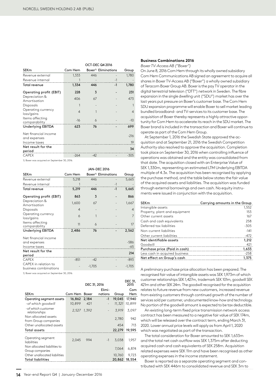|                                      | <b>OCT-DEC Q4 2016</b> |       |                                  |                |
|--------------------------------------|------------------------|-------|----------------------------------|----------------|
| <b>SEKm</b>                          | Com Hem                |       | Boxer <sup>1)</sup> Eliminations | Group          |
| Revenue external                     | 1,333                  | 446   |                                  | 1,780          |
| Revenue internal                     |                        |       | $-1$                             |                |
| Total revenue                        | 1,334                  | 446   | $-1$                             | 1,780          |
| Operating profit (EBIT)              | 228                    | 3     |                                  | 231            |
| Depreciation &<br>Amortisation       | 406                    | 67    |                                  | 473            |
| Disposals                            | 1                      |       |                                  |                |
| Operating currency<br>loss/gains     | 4                      | 1     |                                  | $\overline{4}$ |
| Items affecting<br>comparability     | $-16$                  | 6     |                                  | $-10$          |
| <b>Underlying EBITDA</b>             | 623                    | 76    |                                  | 699            |
| Net financial income<br>and expenses |                        |       |                                  | $-216$         |
| Income taxes                         |                        |       |                                  | 19             |
| Net result for the<br>period         |                        |       |                                  | 34             |
| <b>CAPEX</b>                         | $-264$                 | $-42$ |                                  | $-305$         |

1) Boxer was acquired on September 30, 2016.

|                                               |                |          | <b>JAN-DEC 2016</b>              |                |
|-----------------------------------------------|----------------|----------|----------------------------------|----------------|
| SEKm                                          | Com Hem        |          | Boxer <sup>1)</sup> Eliminations | Group          |
| Revenue external                              | 5,218          | 446      |                                  | 5,665          |
| Revenue internal                              | 1              |          | $-1$                             |                |
| Total revenue                                 | 5,219          | 446      | $-1$                             | 5,665          |
| Operating profit (EBIT)                       | 863            | 3        |                                  | 866            |
| Depreciation &<br>Amortisation                | 1,600          | 67       |                                  | 1,667          |
| Disposals                                     | $\overline{4}$ |          |                                  | $\overline{4}$ |
| Operating currency<br>loss/gains              | 6              |          |                                  | 7              |
| Items affecting<br>comparability              | 11             | 6        |                                  | 17             |
| Underlying EBITDA                             | 2,486          | 76       |                                  | 2,562          |
| Net financial income                          |                |          |                                  |                |
| and expenses                                  |                |          |                                  | $-586$         |
| Income taxes                                  |                |          |                                  | $-65$          |
| Net result for the                            |                |          |                                  | 214            |
| period                                        |                |          |                                  |                |
| <b>CAPEX</b>                                  | $-851$         | $-42$    |                                  | $-893$         |
| CAPEX in relation to<br>business combinations |                | $-1,705$ |                                  | $-1,705$       |

1) Boxer was acquired on September 30, 2016.

|                                                 |             |       | DEC 31, 2016             |        | DEC 31,<br>2015 |
|-------------------------------------------------|-------------|-------|--------------------------|--------|-----------------|
|                                                 |             |       | Elimi-                   |        | Com             |
| SEKm                                            | Com Hem     | Boxer | nations                  | Group  | Hem             |
| Operating segment assets                        | 16,862      | 2,184 | $-1$                     | 19,045 | 17,940          |
| -of which goodwill                              | 10,899      | 421   | $\overline{\phantom{m}}$ | 11,321 | 10,899          |
| -of which customer<br>relationships             | 2,527 1,392 |       |                          | 3.919  | 3,097           |
| Non allocated assets<br>from Group companies    |             |       |                          | 2,780  | 942             |
| Other unallocated assets                        |             |       |                          | 454    | 713             |
| Total assets                                    |             |       |                          | 22,279 | 19,595          |
| Operating segment<br>liabilities                | 2.045       | 994   | $-1$                     | 3.038  | 1,957           |
| Non allocated liabilities to<br>Group companies |             |       |                          | 7,064  | 6,874           |
| Other unallocated liabilities                   |             |       |                          | 10,760 | 9,723           |
| <b>Total liabilities</b>                        |             |       |                          | 20,862 | 18,554          |
|                                                 |             |       |                          |        |                 |

#### **Business Combinations 2016**

*Boxer TV-Access AB ("Boxer")* 

On June 8, 2016 Com Hem through its wholly owned subsidiary Com Hem Communications AB signed an agreement to acquire all shares in Boxer TV-Access AB ("Boxer") a wholly owned subsidiary of Teracom Boxer Group AB. Boxer is the pay TV operator in the digital terrestrial television ("DTT") network in Sweden. The fibre expansion in the single dwelling unit ("SDU") market has over the last years put pressure on Boxer's customer base. The Com Hem SDU expansion programme will enable Boxer to sell market leading bundled broadband- and TV-services to its customer base. The acquisition of Boxer thereby represents a highly attractive opportunity for Com Hem to accelerate its reach in the SDU market. The Boxer brand is included in the transaction and Boxer will continue to operate as part of the Com Hem Group.

At September 1, 2016 the Swedish State approved the acquisition and at September 21, 2016 the Swedish Competition Authority also resolved to approve the acquisition. Completion took place on September 30, 2016 when controlling influence of operations was obtained and the entity was consolidated from that date. The acquisition closed with an Enterprise Value of SEK 1,330m, representing an estimated LTM Underlying EBITDA multiple of 4.3x. The acquisition has been recognised by applying the purchase method, and the table below states the fair value of the acquired assets and liabilities. The acquisition was funded through external borrowings and own cash. No equity instruments were issued in conjunction with the acquisition.

| <b>SEKm</b>                    | Carrying amounts in the Group |
|--------------------------------|-------------------------------|
| Intangible assets              | 1,552                         |
| Property, plant and equipment  | 153                           |
| Other current assets           | 167                           |
| Cash and cash equivalents      | 258                           |
| Deferred tax liabilities       | $-305$                        |
| Non-current liabilities        | $-141$                        |
| Other current liabilities      | $-472$                        |
| Net identifiable assets        | 1,212                         |
| Goodwill                       | 421                           |
| Purchase price (Paid in cash)  | 1,633                         |
| Less cash in acquired business | $-258$                        |
| Net effect on Group's cash     | 1,375                         |
|                                |                               |

A preliminary purchase price allocation has been prepared. The recognised fair value of intangible assets was SEK 1,973m of which customer relationships SEK 1,427m, trademark SEK 101m, goodwill SEK 421m and other SEK 24m. The goodwill recognised for the acquisition relates to future revenue from new customers, increased revenue  $\frac{1}{2}$  from existing customers through continued growth of the number of services sold per customer, undocumented know-how and technology. No portion of the goodwill amount is expected to be tax deductible.

An existing long-term fixed price transmission network access contract has been measured to a negative fair value of SEK 174m, which will be released over the contract term, ending March 31, 2020. Lower annual price levels will apply as from April 1, 2020 which was negotiated as part of the transaction.

The total consideration for Boxer amounted to SEK 1,633m and the total net cash outflow was SEK 1,375m after deducting acquired cash and cash equivalents of SEK 258m. Acquisition related expenses were SEK 11m and have been recognised as other operating expenses in the income statement.

Boxer is reported as a separate operating segment and contributed with SEK 446m to consolidated revenue and SEK 3m to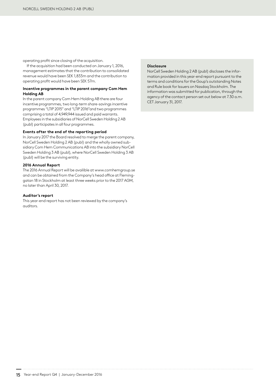operating profit since closing of the acquisition.

If the acquisition had been conducted on January 1, 2016, management estimates that the contribution to consolidated revenue would have been SEK 1,833m and the contribution to operating profit would have been SEK 57m.

### **Incentive programmes in the parent company Com Hem Holding AB**

In the parent company Com Hem Holding AB there are four incentive programmes, two long-term share-savings incentive programmes "LTIP 2015" and "LTIP 2016"and two programmes comprising a total of 4,949,944 issued and paid warrants. Employees in the subsidiaries of NorCell Sweden Holding 2 AB (publ) participates in all four programmes.

### **Events after the end of the reporting period**

In January 2017 the Board resolved to merge the parent company, NorCell Sweden Holding 2 AB (publ) and the wholly owned subsidiary Com Hem Communications AB into the subsidiary NorCell Sweden Holding 3 AB (publ), where NorCell Sweden Holding 3 AB (publ) will be the surviving entity.

### **2016 Annual Report**

The 2016 Annual Report will be availible at www.comhemgroup.se and can be obtained from the Company's head office at Fleminggatan 18 in Stockholm at least three weeks prior to the 2017 AGM, no later than April 30, 2017.

### **Auditor's report**

This year-end report has not been reviewed by the company's auditors.

### **Disclosure**

NorCell Sweden Holding 2 AB (publ) discloses the information provided in this year-end report pursuant to the terms and conditions for the Goup's outstanding Notes and Rule book for Issuers on Nasdaq Stockholm. The information was submitted for publication, through the agency of the contact person set out below at 7.30 a.m. CET January 31, 2017.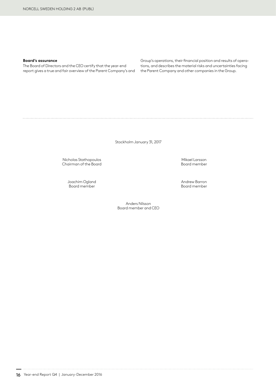### **Board's assurance**

The Board of Directors and the CEO certify that the year-end report gives a true and fair overview of the Parent Company's and Group's operations, their financial position and results of operations, and describes the material risks and uncertainties facing the Parent Company and other companies in the Group.

Stockholm January 31, 2017

Anders Nilsson Board member and CEO

Nicholas Stathopoulos<br>Chairman of the Board Mikael Larsson<br>Mikael Larsson Mikael Larsson Chairman of the Board

Joachim Ogland Andrew Barron

Board member

16 Year-end Report Q4 | January-December 2016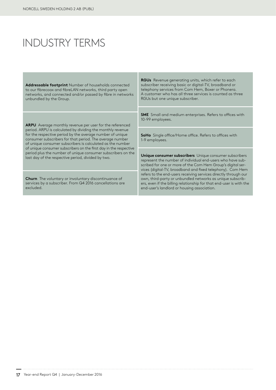# INDUSTRY TERMS

**Addressable footprint** Number of households connected to our fibrecoax and fibreLAN networks, third party open networks, and connected and/or passed by fibre in networks unbundled by the Group.

**ARPU** Average monthly revenue per user for the referenced period. ARPU is calculated by dividing the monthly revenue for the respective period by the average number of unique consumer subscribers for that period. The average number of unique consumer subscribers is calculated as the number of unique consumer subscribers on the first day in the respective period plus the number of unique consumer subscribers on the last day of the respective period, divided by two.

**Churn** The voluntary or involuntary discontinuance of services by a subscriber. From Q4 2016 cancellations are excluded.

**RGUs** Revenue generating units, which refer to each subscriber receiving basic or digital-TV, broadband or telephony services from Com Hem, Boxer or Phonera. A customer who has all three services is counted as three RGUs but one unique subscriber.

**SME** Small and medium enterprises. Refers to offices with 10-99 employees.

**SoHo** Single office/Home office. Refers to offices with 1-9 employees.

**Unique consumer subscribers** Unique consumer subscribers represent the number of individual end-users who have subscribed for one or more of the Com Hem Group's digital services (digital-TV, broadband and fixed telephony). Com Hem refers to the end-users receiving services directly through our own, third-party or unbundled networks as unique subscribers, even if the billing relationship for that end-user is with the end-user's landlord or housing association.